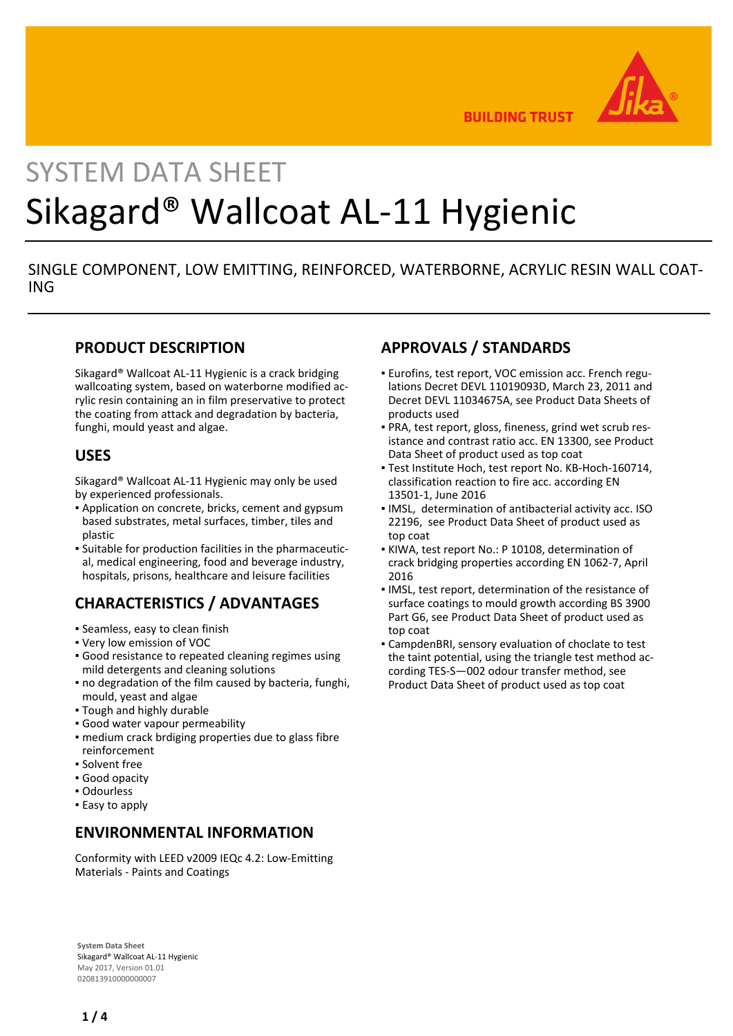

**BUILDING TRUST** 

# SYSTEM DATA SHEET Sikagard® Wallcoat AL-11 Hygienic

# SINGLE COMPONENT, LOW EMITTING, REINFORCED, WATERBORNE, ACRYLIC RESIN WALL COAT-ING

## **PRODUCT DESCRIPTION**

Sikagard® Wallcoat AL-11 Hygienic is a crack bridging wallcoating system, based on waterborne modified acrylic resin containing an in film preservative to protect the coating from attack and degradation by bacteria, funghi, mould yeast and algae.

## **USES**

Sikagard® Wallcoat AL-11 Hygienic may only be used by experienced professionals.

- Application on concrete, bricks, cement and gypsum based substrates, metal surfaces, timber, tiles and plastic
- Suitable for production facilities in the pharmaceutic-▪ al, medical engineering, food and beverage industry, hospitals, prisons, healthcare and leisure facilities

# **CHARACTERISTICS / ADVANTAGES**

- Seamless, easy to clean finish
- Very low emission of VOC
- Good resistance to repeated cleaning regimes using mild detergents and cleaning solutions
- no degradation of the film caused by bacteria, funghi, mould, yeast and algae
- Tough and highly durable
- Good water vapour permeability
- **medium crack brdiging properties due to glass fibre** reinforcement
- Solvent free
- Good opacity
- Odourless
- **Easy to apply**

## **ENVIRONMENTAL INFORMATION**

Conformity with LEED v2009 IEQc 4.2: Low-Emitting Materials - Paints and Coatings

#### **System Data Sheet** Sikagard® Wallcoat AL-11 Hygienic May 2017, Version 01.01 020813910000000007

# **APPROVALS / STANDARDS**

- Eurofins, test report, VOC emission acc. French regu-▪ lations Decret DEVL 11019093D, March 23, 2011 and Decret DEVL 11034675A, see Product Data Sheets of products used
- PRA, test report, gloss, fineness, grind wet scrub res-▪ istance and contrast ratio acc. EN 13300, see Product Data Sheet of product used as top coat
- Test Institute Hoch, test report No. KB-Hoch-160714, classification reaction to fire acc. according EN 13501-1, June 2016
- **IMSL, determination of antibacterial activity acc. ISO** 22196, see Product Data Sheet of product used as top coat
- KIWA, test report No.: P 10108, determination of crack bridging properties according EN 1062-7, April 2016
- **.** IMSL, test report, determination of the resistance of surface coatings to mould growth according BS 3900 Part G6, see Product Data Sheet of product used as top coat
- CampdenBRI, sensory evaluation of choclate to test the taint potential, using the triangle test method according TES-S—002 odour transfer method, see Product Data Sheet of product used as top coat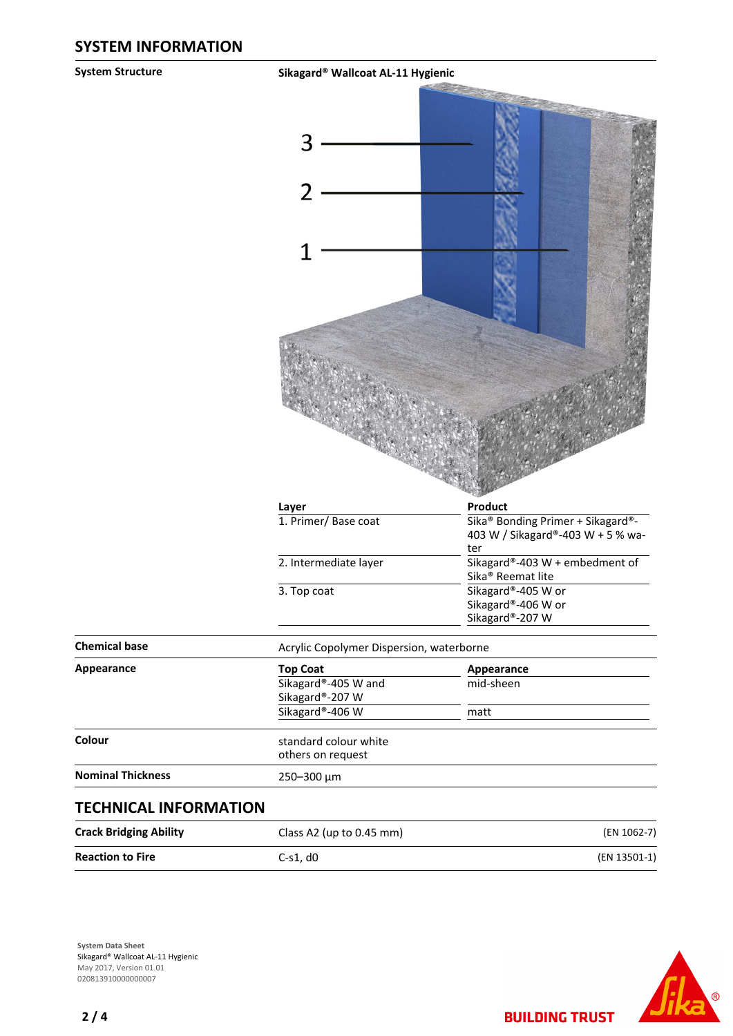**System Structure Sikagard® Wallcoat AL-11 Hygienic**

|                               | Layer                                      | Product                                                                       |  |  |
|-------------------------------|--------------------------------------------|-------------------------------------------------------------------------------|--|--|
|                               | 1. Primer/Base coat                        | Sika® Bonding Primer + Sikagard®-<br>403 W / Sikagard®-403 W + 5 % wa-<br>ter |  |  |
|                               | 2. Intermediate layer                      | Sikagard®-403 W + embedment of<br>Sika <sup>®</sup> Reemat lite               |  |  |
|                               | 3. Top coat                                | Sikagard®-405 W or<br>Sikagard®-406 W or                                      |  |  |
|                               |                                            | Sikagard®-207 W                                                               |  |  |
| <b>Chemical base</b>          | Acrylic Copolymer Dispersion, waterborne   |                                                                               |  |  |
| <b>Appearance</b>             | <b>Top Coat</b>                            | Appearance                                                                    |  |  |
|                               | Sikagard®-405 W and<br>Sikagard®-207 W     | mid-sheen                                                                     |  |  |
|                               | Sikagard®-406 W                            | matt                                                                          |  |  |
| Colour                        | standard colour white<br>others on request |                                                                               |  |  |
| <b>Nominal Thickness</b>      | 250-300 µm                                 |                                                                               |  |  |
| <b>TECHNICAL INFORMATION</b>  |                                            |                                                                               |  |  |
| <b>Crack Bridging Ability</b> | Class A2 (up to 0.45 mm)                   | (EN 1062-7)                                                                   |  |  |
| <b>Reaction to Fire</b>       | $C-S1, d0$                                 | (EN 13501-1)                                                                  |  |  |

**System Data Sheet** Sikagard® Wallcoat AL-11 Hygienic May 2017, Version 01.01 020813910000000007



**BUILDING TRUST**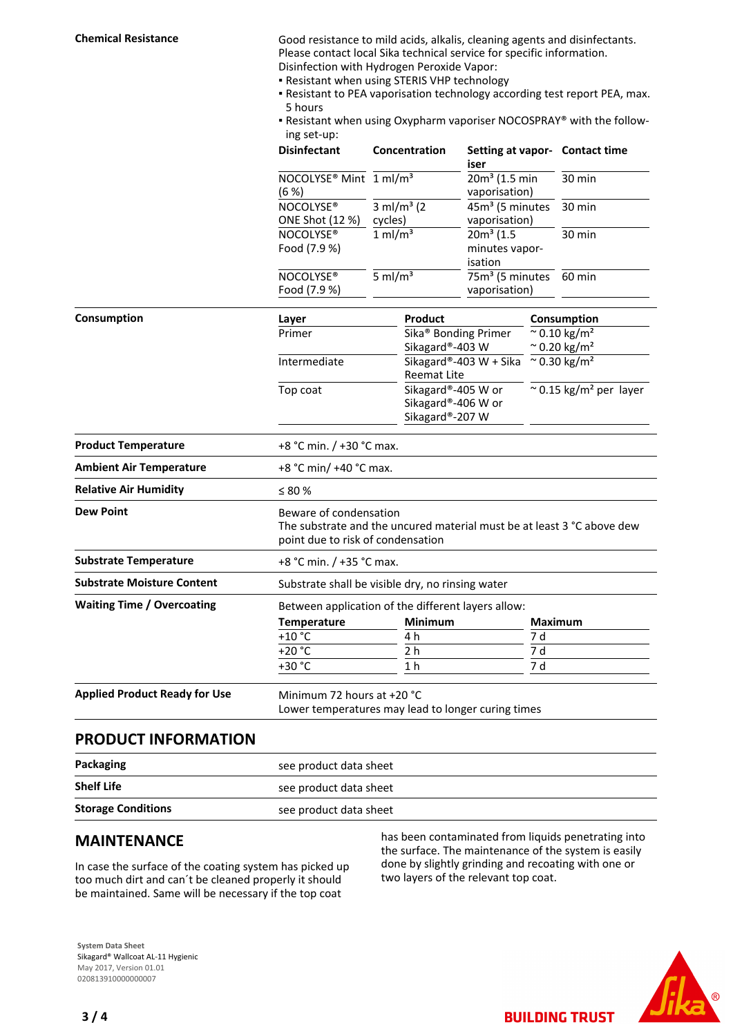**Chemical Resistance** Good resistance to mild acids, alkalis, cleaning agents and disinfectants. Please contact local Sika technical service for specific information. Disinfection with Hydrogen Peroxide Vapor:

- Resistant when using STERIS VHP technology
- Resistant to PEA vaporisation technology according test report PEA, max. 5 hours
- Resistant when using Oxypharm vaporiser NOCOSPRAY® with the follow-▪ ing set-up:

|                                      | <b>Disinfectant</b>                                                                                                                   | Concentration<br>$\frac{1}{3}$ ml/m <sup>3</sup> (2)<br>cycles)<br>$1$ ml/m <sup>3</sup><br>$5 \text{ ml/m}^3$ |                | Setting at vapor- Contact time<br>iser<br>$20m3$ (1.5 min<br>vaporisation)<br>45m <sup>3</sup> (5 minutes<br>vaporisation)<br>$20m3$ (1.5<br>minutes vapor-<br>isation<br>75m <sup>3</sup> (5 minutes<br>vaporisation) |     |                                                                |  |
|--------------------------------------|---------------------------------------------------------------------------------------------------------------------------------------|----------------------------------------------------------------------------------------------------------------|----------------|------------------------------------------------------------------------------------------------------------------------------------------------------------------------------------------------------------------------|-----|----------------------------------------------------------------|--|
|                                      | NOCOLYSE <sup>®</sup> Mint 1 ml/m <sup>3</sup><br>(6 %)                                                                               |                                                                                                                |                |                                                                                                                                                                                                                        |     | 30 min                                                         |  |
|                                      | NOCOLYSE®                                                                                                                             |                                                                                                                |                |                                                                                                                                                                                                                        |     | 30 min                                                         |  |
|                                      | ONE Shot (12 %)                                                                                                                       |                                                                                                                |                |                                                                                                                                                                                                                        |     | 30 min<br>60 min                                               |  |
|                                      | NOCOLYSE <sup>®</sup><br>Food (7.9 %)<br>NOCOLYSE®<br>Food (7.9 %)                                                                    |                                                                                                                |                |                                                                                                                                                                                                                        |     |                                                                |  |
|                                      |                                                                                                                                       |                                                                                                                |                |                                                                                                                                                                                                                        |     |                                                                |  |
| Consumption                          | Layer                                                                                                                                 |                                                                                                                | Product        |                                                                                                                                                                                                                        |     | Consumption                                                    |  |
|                                      | Primer                                                                                                                                | Sikagard®-403 W                                                                                                |                | Sika <sup>®</sup> Bonding Primer                                                                                                                                                                                       |     | $\sim 0.10 \text{ kg/m}^2$<br>$\approx$ 0.20 kg/m <sup>2</sup> |  |
|                                      | Intermediate                                                                                                                          | <b>Reemat Lite</b>                                                                                             |                | Sikagard®-403 W + Sika                                                                                                                                                                                                 |     | $^{\sim}$ 0.30 kg/m <sup>2</sup>                               |  |
|                                      | Top coat                                                                                                                              |                                                                                                                |                | Sikagard®-405 W or<br>Sikagard®-406 W or<br>Sikagard®-207 W                                                                                                                                                            |     | $\approx$ 0.15 kg/m <sup>2</sup> per layer                     |  |
| <b>Product Temperature</b>           | +8 °C min. / +30 °C max.                                                                                                              |                                                                                                                |                |                                                                                                                                                                                                                        |     |                                                                |  |
| <b>Ambient Air Temperature</b>       | +8 °C min/ +40 °C max.                                                                                                                |                                                                                                                |                |                                                                                                                                                                                                                        |     |                                                                |  |
| <b>Relative Air Humidity</b>         | $\leq 80$ %                                                                                                                           |                                                                                                                |                |                                                                                                                                                                                                                        |     |                                                                |  |
| <b>Dew Point</b>                     | Beware of condensation<br>The substrate and the uncured material must be at least 3 °C above dew<br>point due to risk of condensation |                                                                                                                |                |                                                                                                                                                                                                                        |     |                                                                |  |
| <b>Substrate Temperature</b>         | +8 °C min. / +35 °C max.                                                                                                              |                                                                                                                |                |                                                                                                                                                                                                                        |     |                                                                |  |
| <b>Substrate Moisture Content</b>    | Substrate shall be visible dry, no rinsing water                                                                                      |                                                                                                                |                |                                                                                                                                                                                                                        |     |                                                                |  |
| <b>Waiting Time / Overcoating</b>    | Between application of the different layers allow:                                                                                    |                                                                                                                |                |                                                                                                                                                                                                                        |     |                                                                |  |
|                                      | Temperature                                                                                                                           |                                                                                                                | Minimum        |                                                                                                                                                                                                                        |     | <b>Maximum</b>                                                 |  |
|                                      | $+10$ °C                                                                                                                              |                                                                                                                | 4 h            |                                                                                                                                                                                                                        | 7 d |                                                                |  |
|                                      | $+20 °C$                                                                                                                              |                                                                                                                | 2 <sub>h</sub> |                                                                                                                                                                                                                        | 7 d |                                                                |  |
|                                      | +30 °C                                                                                                                                |                                                                                                                | 1 h            |                                                                                                                                                                                                                        | 7 d |                                                                |  |
| <b>Applied Product Ready for Use</b> | Minimum 72 hours at +20 °C<br>Lower temperatures may lead to longer curing times                                                      |                                                                                                                |                |                                                                                                                                                                                                                        |     |                                                                |  |

#### **PRODUCT INFORMATION**

| Packaging                 | see product data sheet |  |
|---------------------------|------------------------|--|
| <b>Shelf Life</b>         | see product data sheet |  |
| <b>Storage Conditions</b> | see product data sheet |  |

#### **MAINTENANCE**

In case the surface of the coating system has picked up too much dirt and can´t be cleaned properly it should be maintained. Same will be necessary if the top coat

has been contaminated from liquids penetrating into the surface. The maintenance of the system is easily done by slightly grinding and recoating with one or two layers of the relevant top coat.

**BUILDING TRUST**